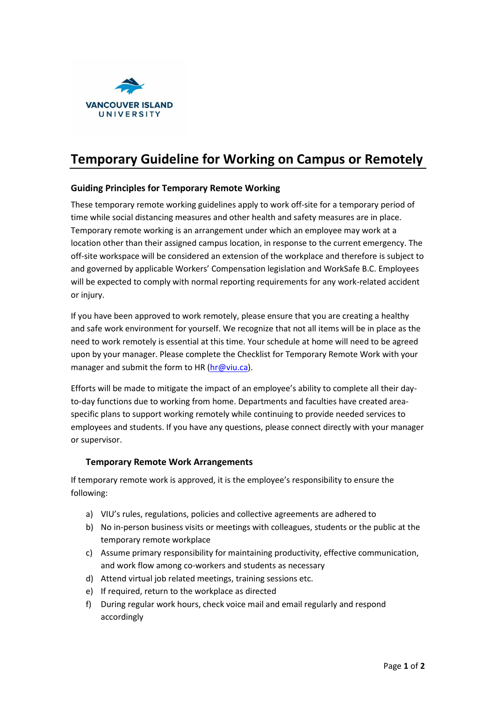

# **Temporary Guideline for Working on Campus or Remotely**

# **Guiding Principles for Temporary Remote Working**

These temporary remote working guidelines apply to work off-site for a temporary period of time while social distancing measures and other health and safety measures are in place. Temporary remote working is an arrangement under which an employee may work at a location other than their assigned campus location, in response to the current emergency. The off-site workspace will be considered an extension of the workplace and therefore is subject to and governed by applicable Workers' Compensation legislation and WorkSafe B.C. Employees will be expected to comply with normal reporting requirements for any work-related accident or injury.

If you have been approved to work remotely, please ensure that you are creating a healthy and safe work environment for yourself. We recognize that not all items will be in place as the need to work remotely is essential at this time. Your schedule at home will need to be agreed upon by your manager. Please complete the Checklist for Temporary Remote Work with your manager and submit the form to HR [\(hr@viu.ca\)](mailto:hr@viu.ca).

Efforts will be made to mitigate the impact of an employee's ability to complete all their dayto-day functions due to working from home. Departments and faculties have created areaspecific plans to support working remotely while continuing to provide needed services to employees and students. If you have any questions, please connect directly with your manager or supervisor.

# **Temporary Remote Work Arrangements**

If temporary remote work is approved, it is the employee's responsibility to ensure the following:

- a) VIU's rules, regulations, policies and collective agreements are adhered to
- b) No in-person business visits or meetings with colleagues, students or the public at the temporary remote workplace
- c) Assume primary responsibility for maintaining productivity, effective communication, and work flow among co-workers and students as necessary
- d) Attend virtual job related meetings, training sessions etc.
- e) If required, return to the workplace as directed
- f) During regular work hours, check voice mail and email regularly and respond accordingly